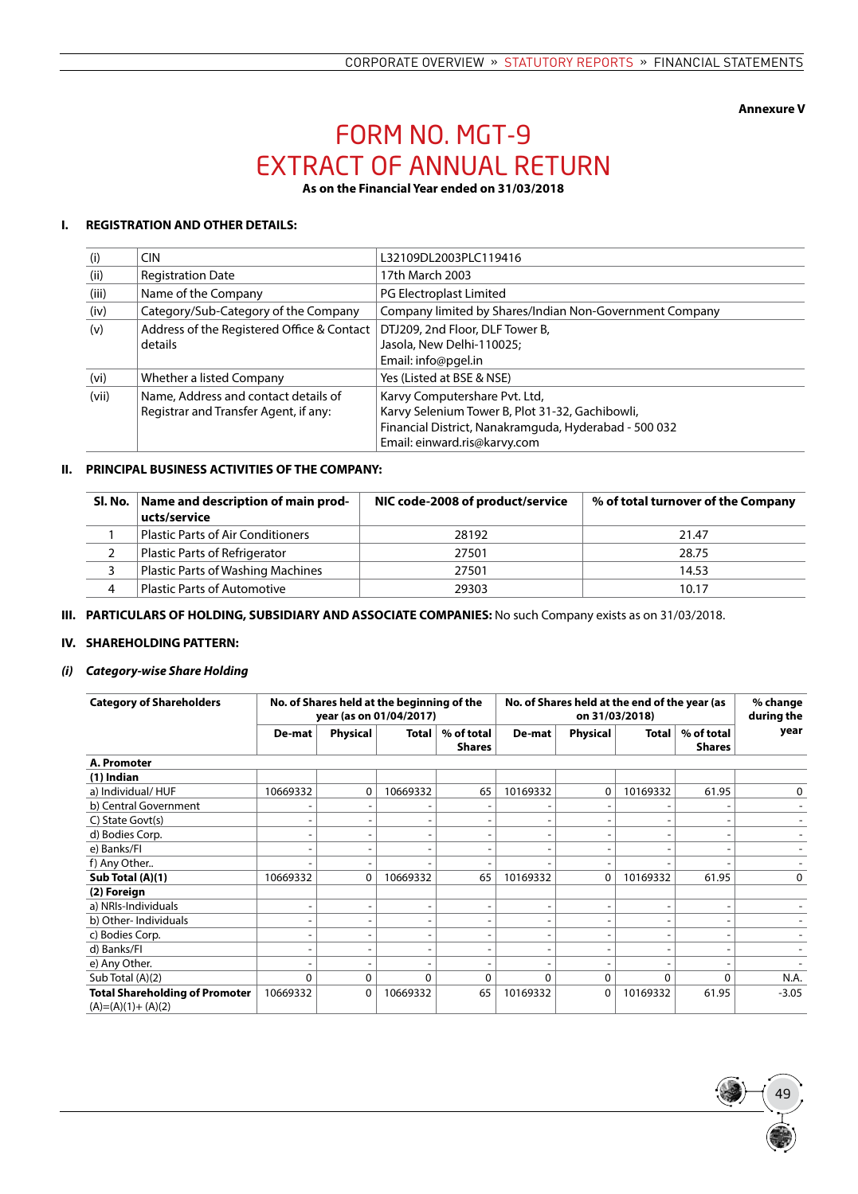**Annexure V**

49

# Form No. MGT-9 EXTRACT OF ANNUAL RETURN

**As on the Financial Year ended on 31/03/2018**

## **I. REGISTRATION AND OTHER DETAILS:**

| (i)   | <b>CIN</b>                                 | L32109DL2003PLC119416                                   |
|-------|--------------------------------------------|---------------------------------------------------------|
| (ii)  | <b>Registration Date</b>                   | 17th March 2003                                         |
| (iii) | Name of the Company                        | PG Electroplast Limited                                 |
| (iv)  | Category/Sub-Category of the Company       | Company limited by Shares/Indian Non-Government Company |
| (v)   | Address of the Registered Office & Contact | DTJ209, 2nd Floor, DLF Tower B,                         |
|       | details                                    | Jasola, New Delhi-110025;                               |
|       |                                            | Email: info@pgel.in                                     |
| (vi)  | Whether a listed Company                   | Yes (Listed at BSE & NSE)                               |
| (vii) | Name, Address and contact details of       | Karvy Computershare Pvt. Ltd,                           |
|       | Registrar and Transfer Agent, if any:      | Karvy Selenium Tower B, Plot 31-32, Gachibowli,         |
|       |                                            | Financial District, Nanakramguda, Hyderabad - 500 032   |
|       |                                            | Email: einward.ris@karvy.com                            |

## **II. PRINCIPAL BUSINESS ACTIVITIES OF THE COMPANY:**

| Sl. No. | Name and description of main prod-<br>ucts/service | NIC code-2008 of product/service | % of total turnover of the Company |
|---------|----------------------------------------------------|----------------------------------|------------------------------------|
|         | <b>Plastic Parts of Air Conditioners</b>           | 28192                            | 21.47                              |
|         | Plastic Parts of Refrigerator                      | 27501                            | 28.75                              |
|         | <b>Plastic Parts of Washing Machines</b>           | 27501                            | 14.53                              |
| 4       | <b>Plastic Parts of Automotive</b>                 | 29303                            | 10.17                              |

**III. PARTICULARS OF HOLDING, SUBSIDIARY AND ASSOCIATE COMPANIES:** No such Company exists as on 31/03/2018.

## **IV. SHAREHOLDING PATTERN:**

## *(i) Category-wise Share Holding*

| <b>Category of Shareholders</b>       | No. of Shares held at the beginning of the<br>year (as on 01/04/2017) |          |          |                             | No. of Shares held at the end of the year (as<br>on 31/03/2018) |                          |                              |                             | % change<br>during the |
|---------------------------------------|-----------------------------------------------------------------------|----------|----------|-----------------------------|-----------------------------------------------------------------|--------------------------|------------------------------|-----------------------------|------------------------|
|                                       | De-mat                                                                | Physical | Total    | % of total<br><b>Shares</b> | De-mat                                                          | <b>Physical</b>          | Total                        | % of total<br><b>Shares</b> | year                   |
| A. Promoter                           |                                                                       |          |          |                             |                                                                 |                          |                              |                             |                        |
| $(1)$ Indian                          |                                                                       |          |          |                             |                                                                 |                          |                              |                             |                        |
| a) Individual/HUF                     | 10669332                                                              | 0        | 10669332 | 65                          | 10169332                                                        | 0                        | 10169332                     | 61.95                       | 0                      |
| b) Central Government                 |                                                                       |          |          |                             |                                                                 |                          |                              |                             |                        |
| C) State Govt(s)                      |                                                                       | ۰        |          |                             |                                                                 |                          | ٠                            |                             |                        |
| d) Bodies Corp.                       |                                                                       |          |          |                             |                                                                 |                          | -                            |                             |                        |
| e) Banks/Fl                           |                                                                       |          |          |                             |                                                                 | ۰                        | -                            |                             |                        |
| f) Any Other                          |                                                                       | ۰        |          |                             |                                                                 | $\overline{\phantom{a}}$ | ٠                            |                             |                        |
| Sub Total (A)(1)                      | 10669332                                                              | 0        | 10669332 | 65                          | 10169332                                                        | 0                        | 10169332                     | 61.95                       | 0                      |
| (2) Foreign                           |                                                                       |          |          |                             |                                                                 |                          |                              |                             |                        |
| a) NRIs-Individuals                   |                                                                       | ۰        |          |                             | ٠                                                               | $\overline{\phantom{a}}$ | ٠                            | ۰                           |                        |
| b) Other-Individuals                  |                                                                       |          |          |                             |                                                                 |                          | ٠                            |                             |                        |
| c) Bodies Corp.                       |                                                                       |          |          |                             |                                                                 | $\overline{\phantom{a}}$ | ۰                            |                             |                        |
| d) Banks/Fl                           |                                                                       | ٠        |          |                             | $\overline{\phantom{a}}$                                        | ۰.                       | $\qquad \qquad \blacksquare$ | ٠                           |                        |
| e) Any Other.                         |                                                                       |          |          |                             |                                                                 | ۰                        | ۰                            |                             |                        |
| Sub Total (A)(2)                      | 0                                                                     | 0        | 0        | $\Omega$                    | $\Omega$                                                        | 0                        | 0                            | $\Omega$                    | N.A.                   |
| <b>Total Shareholding of Promoter</b> | 10669332                                                              | 0        | 10669332 | 65                          | 10169332                                                        | 0                        | 10169332                     | 61.95                       | $-3.05$                |
| $(A)=(A)(1)+(A)(2)$                   |                                                                       |          |          |                             |                                                                 |                          |                              |                             |                        |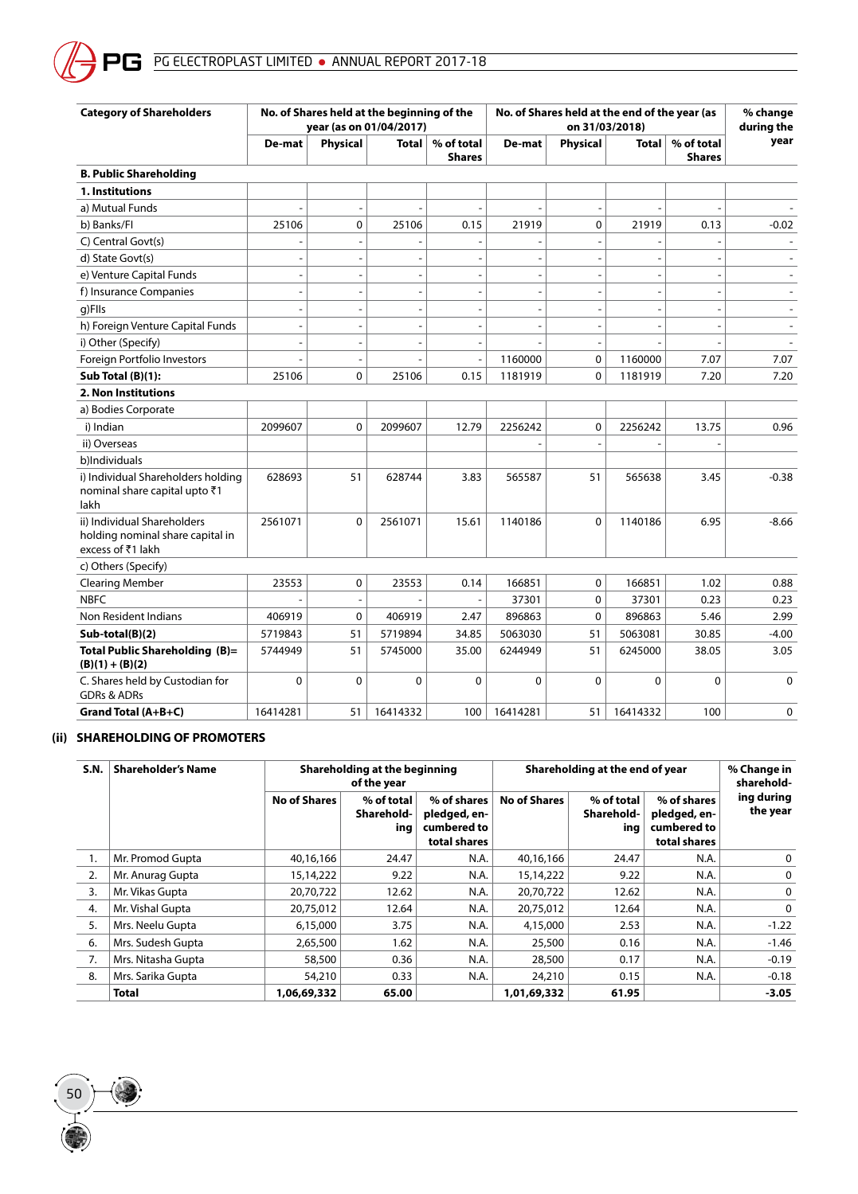| <b>Category of Shareholders</b>                                                      | No. of Shares held at the beginning of the<br>year (as on 01/04/2017) |                 |                |                             | No. of Shares held at the end of the year (as<br>on 31/03/2018) |                          |                          |                             | % change<br>during the |
|--------------------------------------------------------------------------------------|-----------------------------------------------------------------------|-----------------|----------------|-----------------------------|-----------------------------------------------------------------|--------------------------|--------------------------|-----------------------------|------------------------|
|                                                                                      | De-mat                                                                | <b>Physical</b> | <b>Total</b>   | % of total<br><b>Shares</b> | De-mat                                                          | <b>Physical</b>          | <b>Total</b>             | % of total<br><b>Shares</b> | year                   |
| <b>B. Public Shareholding</b>                                                        |                                                                       |                 |                |                             |                                                                 |                          |                          |                             |                        |
| 1. Institutions                                                                      |                                                                       |                 |                |                             |                                                                 |                          |                          |                             |                        |
| a) Mutual Funds                                                                      |                                                                       | $\overline{a}$  |                |                             |                                                                 | $\overline{\phantom{m}}$ |                          |                             |                        |
| b) Banks/FI                                                                          | 25106                                                                 | 0               | 25106          | 0.15                        | 21919                                                           | 0                        | 21919                    | 0.13                        | $-0.02$                |
| C) Central Govt(s)                                                                   |                                                                       |                 |                |                             |                                                                 | $\overline{a}$           |                          |                             |                        |
| d) State Govt(s)                                                                     | $\overline{a}$                                                        | $\overline{a}$  |                |                             | $\overline{a}$                                                  | $\overline{\phantom{a}}$ |                          | $\overline{a}$              |                        |
| e) Venture Capital Funds                                                             | $\overline{a}$                                                        | $\overline{a}$  | $\overline{a}$ |                             | $\overline{a}$                                                  | $\overline{\phantom{a}}$ | $\overline{\phantom{a}}$ | $\overline{a}$              |                        |
| f) Insurance Companies                                                               | $\overline{\phantom{a}}$                                              | L,              | ٠              |                             | $\overline{a}$                                                  | $\sim$                   | $\overline{\phantom{a}}$ | $\overline{a}$              |                        |
| g)FlIs                                                                               | $\overline{a}$                                                        | ÷,              |                |                             | $\overline{\phantom{a}}$                                        | $\sim$                   | $\overline{\phantom{a}}$ | $\overline{a}$              |                        |
| h) Foreign Venture Capital Funds                                                     | $\overline{\phantom{a}}$                                              | $\overline{a}$  |                |                             | $\overline{a}$                                                  | $\blacksquare$           | $\overline{\phantom{a}}$ | $\overline{a}$              |                        |
| i) Other (Specify)                                                                   | $\overline{a}$                                                        | $\overline{a}$  |                |                             |                                                                 | $\blacksquare$           |                          | ÷                           |                        |
| Foreign Portfolio Investors                                                          |                                                                       |                 |                |                             | 1160000                                                         | 0                        | 1160000                  | 7.07                        | 7.07                   |
| Sub Total (B)(1):                                                                    | 25106                                                                 | $\mathbf 0$     | 25106          | 0.15                        | 1181919                                                         | 0                        | 1181919                  | 7.20                        | 7.20                   |
| 2. Non Institutions                                                                  |                                                                       |                 |                |                             |                                                                 |                          |                          |                             |                        |
| a) Bodies Corporate                                                                  |                                                                       |                 |                |                             |                                                                 |                          |                          |                             |                        |
| i) Indian                                                                            | 2099607                                                               | $\mathbf 0$     | 2099607        | 12.79                       | 2256242                                                         | $\mathbf 0$              | 2256242                  | 13.75                       | 0.96                   |
| ii) Overseas                                                                         |                                                                       |                 |                |                             |                                                                 |                          |                          |                             |                        |
| b)Individuals                                                                        |                                                                       |                 |                |                             |                                                                 |                          |                          |                             |                        |
| i) Individual Shareholders holding<br>nominal share capital upto ₹1<br>lakh          | 628693                                                                | 51              | 628744         | 3.83                        | 565587                                                          | 51                       | 565638                   | 3.45                        | $-0.38$                |
| ii) Individual Shareholders<br>holding nominal share capital in<br>excess of ₹1 lakh | 2561071                                                               | 0               | 2561071        | 15.61                       | 1140186                                                         | 0                        | 1140186                  | 6.95                        | $-8.66$                |
| c) Others (Specify)                                                                  |                                                                       |                 |                |                             |                                                                 |                          |                          |                             |                        |
| <b>Clearing Member</b>                                                               | 23553                                                                 | 0               | 23553          | 0.14                        | 166851                                                          | 0                        | 166851                   | 1.02                        | 0.88                   |
| <b>NBFC</b>                                                                          |                                                                       |                 |                |                             | 37301                                                           | 0                        | 37301                    | 0.23                        | 0.23                   |
| Non Resident Indians                                                                 | 406919                                                                | 0               | 406919         | 2.47                        | 896863                                                          | 0                        | 896863                   | 5.46                        | 2.99                   |
| Sub-total(B)(2)                                                                      | 5719843                                                               | 51              | 5719894        | 34.85                       | 5063030                                                         | 51                       | 5063081                  | 30.85                       | $-4.00$                |
| Total Public Shareholding (B)=<br>$(B)(1) + (B)(2)$                                  | 5744949                                                               | 51              | 5745000        | 35.00                       | 6244949                                                         | 51                       | 6245000                  | 38.05                       | 3.05                   |
| C. Shares held by Custodian for<br><b>GDRs &amp; ADRs</b>                            | 0                                                                     | 0               | $\mathbf 0$    | $\Omega$                    | 0                                                               | 0                        | 0                        | 0                           | $\mathbf 0$            |
| Grand Total (A+B+C)                                                                  | 16414281                                                              | 51              | 16414332       | 100                         | 16414281                                                        | 51                       | 16414332                 | 100                         | $\mathbf 0$            |

## **(ii) SHAREHOLDING OF PROMOTERS**

50

| S.N. | <b>Shareholder's Name</b> |                     | Shareholding at the beginning<br>of the year |                                                            |                     | Shareholding at the end of year |                                                            |                        |  |
|------|---------------------------|---------------------|----------------------------------------------|------------------------------------------------------------|---------------------|---------------------------------|------------------------------------------------------------|------------------------|--|
|      |                           | <b>No of Shares</b> | % of total<br>Sharehold-<br>ing              | % of shares<br>pledged, en-<br>cumbered to<br>total shares | <b>No of Shares</b> | % of total<br>Sharehold-<br>ing | % of shares<br>pledged, en-<br>cumbered to<br>total shares | ing during<br>the year |  |
|      | Mr. Promod Gupta          | 40,16,166           | 24.47                                        | N.A.                                                       | 40,16,166           | 24.47                           | N.A.                                                       | 0                      |  |
| 2.   | Mr. Anurag Gupta          | 15,14,222           | 9.22                                         | N.A.                                                       | 15,14,222           | 9.22                            | N.A.                                                       | 0                      |  |
| 3.   | Mr. Vikas Gupta           | 20,70,722           | 12.62                                        | N.A.                                                       | 20,70,722           | 12.62                           | N.A.                                                       | $\mathbf 0$            |  |
| 4.   | Mr. Vishal Gupta          | 20,75,012           | 12.64                                        | N.A.                                                       | 20,75,012           | 12.64                           | N.A.                                                       | $\Omega$               |  |
| 5.   | Mrs. Neelu Gupta          | 6,15,000            | 3.75                                         | N.A.                                                       | 4,15,000            | 2.53                            | N.A.                                                       | $-1.22$                |  |
| 6.   | Mrs. Sudesh Gupta         | 2,65,500            | 1.62                                         | N.A.                                                       | 25,500              | 0.16                            | N.A.                                                       | $-1.46$                |  |
| 7.   | Mrs. Nitasha Gupta        | 58,500              | 0.36                                         | N.A.                                                       | 28,500              | 0.17                            | N.A.                                                       | $-0.19$                |  |
| 8.   | Mrs. Sarika Gupta         | 54,210              | 0.33                                         | N.A.                                                       | 24,210              | 0.15                            | N.A.                                                       | $-0.18$                |  |
|      | <b>Total</b>              | 1,06,69,332         | 65.00                                        |                                                            | 1,01,69,332         | 61.95                           |                                                            | $-3.05$                |  |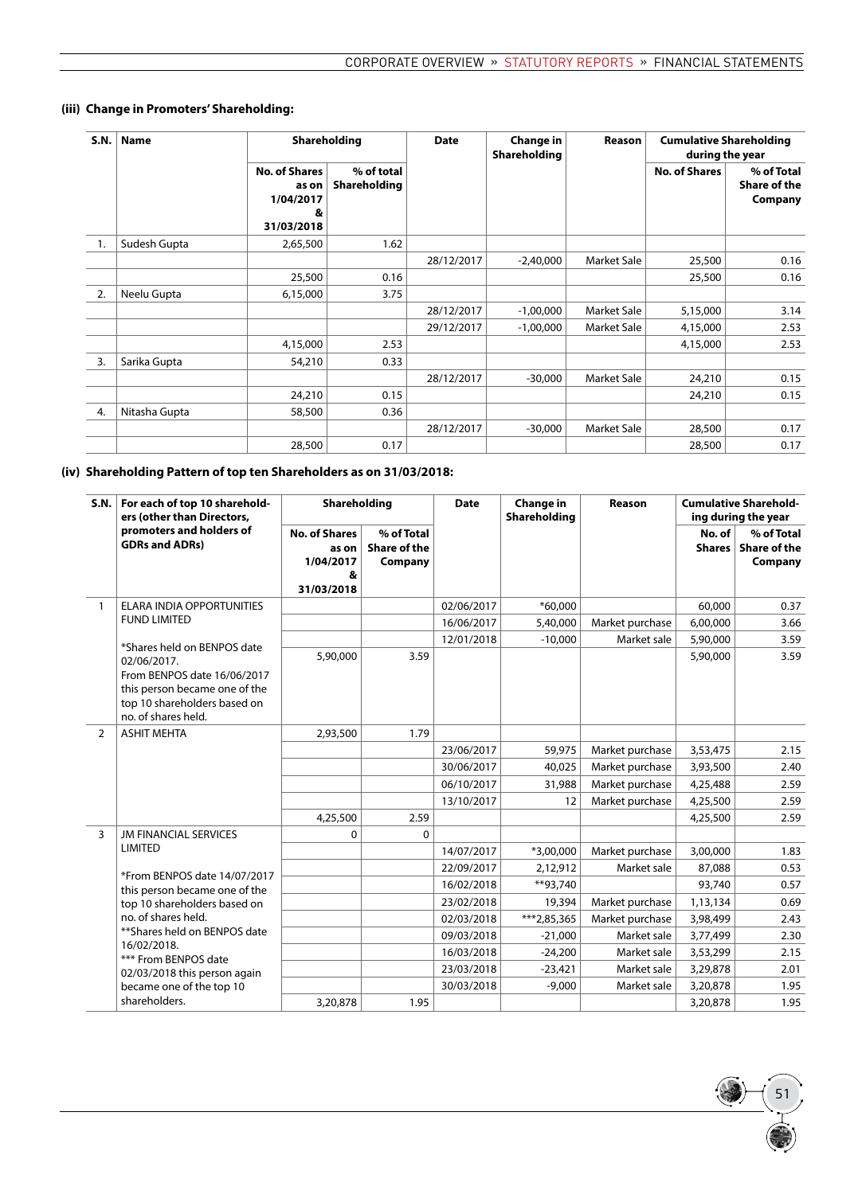| S.N. | <b>Name</b>   |                                                               | Shareholding               | <b>Date</b> | Change in<br>Shareholding | Reason             | <b>Cumulative Shareholding</b><br>during the year |                                              |
|------|---------------|---------------------------------------------------------------|----------------------------|-------------|---------------------------|--------------------|---------------------------------------------------|----------------------------------------------|
|      |               | <b>No. of Shares</b><br>as on<br>1/04/2017<br>&<br>31/03/2018 | % of total<br>Shareholding |             |                           |                    | <b>No. of Shares</b>                              | % of Total<br><b>Share of the</b><br>Company |
| 1.   | Sudesh Gupta  | 2,65,500                                                      | 1.62                       |             |                           |                    |                                                   |                                              |
|      |               |                                                               |                            | 28/12/2017  | $-2,40,000$               | <b>Market Sale</b> | 25,500                                            | 0.16                                         |
|      |               | 25,500                                                        | 0.16                       |             |                           |                    | 25,500                                            | 0.16                                         |
| 2.   | Neelu Gupta   | 6,15,000                                                      | 3.75                       |             |                           |                    |                                                   |                                              |
|      |               |                                                               |                            | 28/12/2017  | $-1,00,000$               | <b>Market Sale</b> | 5,15,000                                          | 3.14                                         |
|      |               |                                                               |                            | 29/12/2017  | $-1,00,000$               | <b>Market Sale</b> | 4,15,000                                          | 2.53                                         |
|      |               | 4,15,000                                                      | 2.53                       |             |                           |                    | 4,15,000                                          | 2.53                                         |
| 3.   | Sarika Gupta  | 54,210                                                        | 0.33                       |             |                           |                    |                                                   |                                              |
|      |               |                                                               |                            | 28/12/2017  | $-30,000$                 | <b>Market Sale</b> | 24,210                                            | 0.15                                         |
|      |               | 24,210                                                        | 0.15                       |             |                           |                    | 24,210                                            | 0.15                                         |
| 4.   | Nitasha Gupta | 58,500                                                        | 0.36                       |             |                           |                    |                                                   |                                              |
|      |               |                                                               |                            | 28/12/2017  | $-30,000$                 | Market Sale        | 28,500                                            | 0.17                                         |
|      |               | 28,500                                                        | 0.17                       |             |                           |                    | 28,500                                            | 0.17                                         |

## **(iii) Change in Promoters' Shareholding:**

## **(iv) Shareholding Pattern of top ten Shareholders as on 31/03/2018:**

| S.N.           | For each of top 10 sharehold-<br>ers (other than Directors,                                                                                                       | Shareholding                                                  |                                              | <b>Date</b> | <b>Change in</b><br>Shareholding | Reason          | <b>Cumulative Sharehold-</b><br>ing during the year |                                       |
|----------------|-------------------------------------------------------------------------------------------------------------------------------------------------------------------|---------------------------------------------------------------|----------------------------------------------|-------------|----------------------------------|-----------------|-----------------------------------------------------|---------------------------------------|
|                | promoters and holders of<br><b>GDRs and ADRs)</b>                                                                                                                 | <b>No. of Shares</b><br>as on<br>1/04/2017<br>&<br>31/03/2018 | % of Total<br><b>Share of the</b><br>Company |             |                                  |                 | No. of<br>Shares                                    | % of Total<br>Share of the<br>Company |
| $\mathbf{1}$   | ELARA INDIA OPPORTUNITIES                                                                                                                                         |                                                               |                                              | 02/06/2017  | $*60.000$                        |                 | 60,000                                              | 0.37                                  |
|                | <b>FUND LIMITED</b>                                                                                                                                               |                                                               |                                              | 16/06/2017  | 5,40,000                         | Market purchase | 6,00,000                                            | 3.66                                  |
|                |                                                                                                                                                                   |                                                               |                                              | 12/01/2018  | $-10,000$                        | Market sale     | 5,90,000                                            | 3.59                                  |
|                | *Shares held on BENPOS date<br>02/06/2017.<br>From BENPOS date 16/06/2017<br>this person became one of the<br>top 10 shareholders based on<br>no. of shares held. | 5,90,000                                                      | 3.59                                         |             |                                  |                 | 5,90,000                                            | 3.59                                  |
| $\overline{2}$ | <b>ASHIT MEHTA</b>                                                                                                                                                | 2,93,500                                                      | 1.79                                         |             |                                  |                 |                                                     |                                       |
|                |                                                                                                                                                                   |                                                               |                                              | 23/06/2017  | 59,975                           | Market purchase | 3,53,475                                            | 2.15                                  |
|                |                                                                                                                                                                   |                                                               |                                              | 30/06/2017  | 40,025                           | Market purchase | 3,93,500                                            | 2.40                                  |
|                |                                                                                                                                                                   |                                                               |                                              | 06/10/2017  | 31,988                           | Market purchase | 4,25,488                                            | 2.59                                  |
|                |                                                                                                                                                                   |                                                               |                                              | 13/10/2017  | 12                               | Market purchase | 4,25,500                                            | 2.59                                  |
|                |                                                                                                                                                                   | 4,25,500                                                      | 2.59                                         |             |                                  |                 | 4,25,500                                            | 2.59                                  |
| $\overline{3}$ | <b>JM FINANCIAL SERVICES</b>                                                                                                                                      | 0                                                             | 0                                            |             |                                  |                 |                                                     |                                       |
|                | <b>LIMITED</b>                                                                                                                                                    |                                                               |                                              | 14/07/2017  | $*3,00,000$                      | Market purchase | 3,00,000                                            | 1.83                                  |
|                | *From BENPOS date 14/07/2017                                                                                                                                      |                                                               |                                              | 22/09/2017  | 2,12,912                         | Market sale     | 87,088                                              | 0.53                                  |
|                | this person became one of the                                                                                                                                     |                                                               |                                              | 16/02/2018  | **93,740                         |                 | 93,740                                              | 0.57                                  |
|                | top 10 shareholders based on                                                                                                                                      |                                                               |                                              | 23/02/2018  | 19,394                           | Market purchase | 1,13,134                                            | 0.69                                  |
|                | no. of shares held.                                                                                                                                               |                                                               |                                              | 02/03/2018  | ***2,85,365                      | Market purchase | 3,98,499                                            | 2.43                                  |
|                | ** Shares held on BENPOS date<br>16/02/2018.                                                                                                                      |                                                               |                                              | 09/03/2018  | $-21,000$                        | Market sale     | 3,77,499                                            | 2.30                                  |
|                | *** From BENPOS date                                                                                                                                              |                                                               |                                              | 16/03/2018  | $-24,200$                        | Market sale     | 3,53,299                                            | 2.15                                  |
|                | 02/03/2018 this person again                                                                                                                                      |                                                               |                                              | 23/03/2018  | $-23,421$                        | Market sale     | 3,29,878                                            | 2.01                                  |
|                | became one of the top 10                                                                                                                                          |                                                               |                                              | 30/03/2018  | $-9,000$                         | Market sale     | 3,20,878                                            | 1.95                                  |
|                | shareholders.                                                                                                                                                     | 3,20,878                                                      | 1.95                                         |             |                                  |                 | 3,20,878                                            | 1.95                                  |

51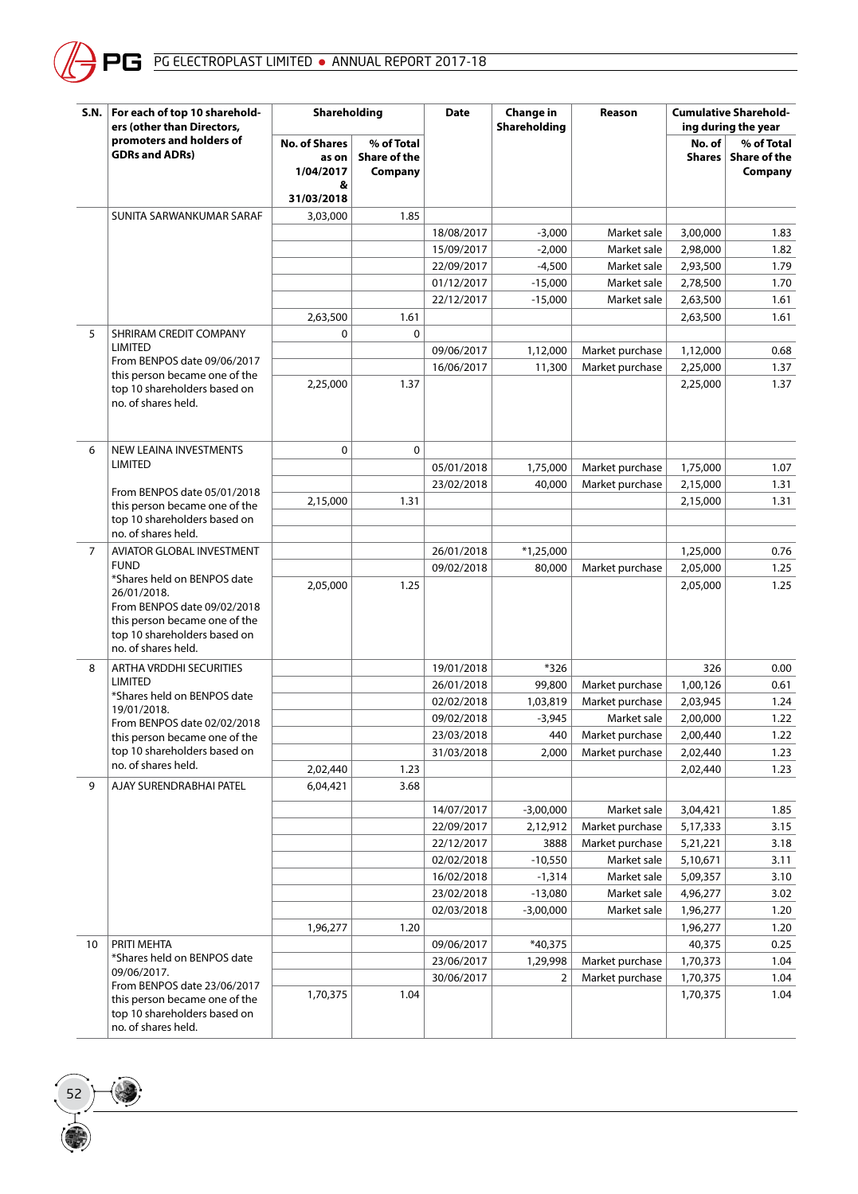

| S.N. | For each of top 10 sharehold-<br>ers (other than Directors,                                                                                                       | Shareholding                                                  |                                              | <b>Date</b> | Change in<br>Shareholding | Reason          |                  | <b>Cumulative Sharehold-</b><br>ing during the year |
|------|-------------------------------------------------------------------------------------------------------------------------------------------------------------------|---------------------------------------------------------------|----------------------------------------------|-------------|---------------------------|-----------------|------------------|-----------------------------------------------------|
|      | promoters and holders of<br><b>GDRs and ADRs)</b>                                                                                                                 | <b>No. of Shares</b><br>as on<br>1/04/2017<br>&<br>31/03/2018 | % of Total<br><b>Share of the</b><br>Company |             |                           |                 | No. of<br>Shares | % of Total<br>Share of the<br>Company               |
|      | SUNITA SARWANKUMAR SARAF                                                                                                                                          | 3,03,000                                                      | 1.85                                         |             |                           |                 |                  |                                                     |
|      |                                                                                                                                                                   |                                                               |                                              | 18/08/2017  | $-3,000$                  | Market sale     | 3,00,000         | 1.83                                                |
|      |                                                                                                                                                                   |                                                               |                                              | 15/09/2017  | $-2,000$                  | Market sale     | 2,98,000         | 1.82                                                |
|      |                                                                                                                                                                   |                                                               |                                              | 22/09/2017  | $-4,500$                  | Market sale     | 2,93,500         | 1.79                                                |
|      |                                                                                                                                                                   |                                                               |                                              | 01/12/2017  | $-15,000$                 | Market sale     | 2,78,500         | 1.70                                                |
|      |                                                                                                                                                                   |                                                               |                                              | 22/12/2017  | $-15,000$                 | Market sale     | 2,63,500         | 1.61                                                |
|      |                                                                                                                                                                   | 2,63,500                                                      | 1.61                                         |             |                           |                 | 2,63,500         | 1.61                                                |
| 5    | SHRIRAM CREDIT COMPANY                                                                                                                                            | 0                                                             | $\Omega$                                     |             |                           |                 |                  |                                                     |
|      | <b>LIMITED</b>                                                                                                                                                    |                                                               |                                              | 09/06/2017  | 1,12,000                  | Market purchase | 1,12,000         | 0.68                                                |
|      | From BENPOS date 09/06/2017                                                                                                                                       |                                                               |                                              | 16/06/2017  | 11,300                    | Market purchase | 2,25,000         | 1.37                                                |
|      | this person became one of the<br>top 10 shareholders based on<br>no. of shares held.                                                                              | 2,25,000                                                      | 1.37                                         |             |                           |                 | 2,25,000         | 1.37                                                |
| 6    | NEW LEAINA INVESTMENTS                                                                                                                                            | 0                                                             | $\mathbf 0$                                  |             |                           |                 |                  |                                                     |
|      | <b>LIMITED</b>                                                                                                                                                    |                                                               |                                              | 05/01/2018  | 1,75,000                  | Market purchase | 1,75,000         | 1.07                                                |
|      |                                                                                                                                                                   |                                                               |                                              | 23/02/2018  | 40,000                    | Market purchase | 2,15,000         | 1.31                                                |
|      | From BENPOS date 05/01/2018<br>this person became one of the                                                                                                      | 2,15,000                                                      | 1.31                                         |             |                           |                 | 2,15,000         | 1.31                                                |
|      | top 10 shareholders based on<br>no. of shares held.                                                                                                               |                                                               |                                              |             |                           |                 |                  |                                                     |
| 7    | AVIATOR GLOBAL INVESTMENT                                                                                                                                         |                                                               |                                              | 26/01/2018  | $*1,25,000$               |                 | 1,25,000         | 0.76                                                |
|      | <b>FUND</b>                                                                                                                                                       |                                                               |                                              | 09/02/2018  | 80,000                    | Market purchase | 2,05,000         | 1.25                                                |
|      | *Shares held on BENPOS date<br>26/01/2018.<br>From BENPOS date 09/02/2018<br>this person became one of the<br>top 10 shareholders based on<br>no. of shares held. | 2,05,000                                                      | 1.25                                         |             |                           |                 | 2,05,000         | 1.25                                                |
| 8    | ARTHA VRDDHI SECURITIES                                                                                                                                           |                                                               |                                              | 19/01/2018  | *326                      |                 | 326              | 0.00                                                |
|      | <b>LIMITED</b>                                                                                                                                                    |                                                               |                                              | 26/01/2018  | 99,800                    | Market purchase | 1,00,126         | 0.61                                                |
|      | *Shares held on BENPOS date<br>19/01/2018.                                                                                                                        |                                                               |                                              | 02/02/2018  | 1,03,819                  | Market purchase | 2,03,945         | 1.24                                                |
|      | From BENPOS date 02/02/2018                                                                                                                                       |                                                               |                                              | 09/02/2018  | $-3,945$                  | Market sale     | 2,00,000         | 1.22                                                |
|      | this person became one of the                                                                                                                                     |                                                               |                                              | 23/03/2018  | 440                       | Market purchase | 2,00,440         | 1.22                                                |
|      | top 10 shareholders based on                                                                                                                                      |                                                               |                                              | 31/03/2018  | 2,000                     | Market purchase | 2,02,440         | 1.23                                                |
|      | no. of shares held.                                                                                                                                               | 2,02,440                                                      | 1.23                                         |             |                           |                 | 2,02,440         | 1.23                                                |
| 9    | AJAY SURENDRABHAI PATEL                                                                                                                                           | 6,04,421                                                      | 3.68                                         |             |                           |                 |                  |                                                     |
|      |                                                                                                                                                                   |                                                               |                                              | 14/07/2017  | $-3,00,000$               | Market sale     | 3,04,421         | 1.85                                                |
|      |                                                                                                                                                                   |                                                               |                                              | 22/09/2017  | 2,12,912                  | Market purchase | 5,17,333         | 3.15                                                |
|      |                                                                                                                                                                   |                                                               |                                              | 22/12/2017  | 3888                      | Market purchase | 5,21,221         | 3.18                                                |
|      |                                                                                                                                                                   |                                                               |                                              | 02/02/2018  | $-10,550$                 | Market sale     | 5,10,671         | 3.11                                                |
|      |                                                                                                                                                                   |                                                               |                                              | 16/02/2018  | $-1,314$                  | Market sale     | 5,09,357         | 3.10                                                |
|      |                                                                                                                                                                   |                                                               |                                              | 23/02/2018  | $-13,080$                 | Market sale     | 4,96,277         | 3.02                                                |
|      |                                                                                                                                                                   |                                                               |                                              | 02/03/2018  | $-3,00,000$               | Market sale     | 1,96,277         | 1.20                                                |
|      |                                                                                                                                                                   | 1,96,277                                                      | 1.20                                         |             |                           |                 | 1,96,277         | 1.20                                                |
| 10   | PRITI MEHTA                                                                                                                                                       |                                                               |                                              | 09/06/2017  | *40,375                   |                 | 40,375           | 0.25                                                |
|      | *Shares held on BENPOS date                                                                                                                                       |                                                               |                                              | 23/06/2017  | 1,29,998                  | Market purchase | 1,70,373         | 1.04                                                |
|      | 09/06/2017.<br>From BENPOS date 23/06/2017                                                                                                                        |                                                               |                                              | 30/06/2017  | 2                         | Market purchase | 1,70,375         | 1.04                                                |
|      | this person became one of the<br>top 10 shareholders based on<br>no. of shares held.                                                                              | 1,70,375                                                      | 1.04                                         |             |                           |                 | 1,70,375         | 1.04                                                |

 $\left( \frac{52}{100}\right)$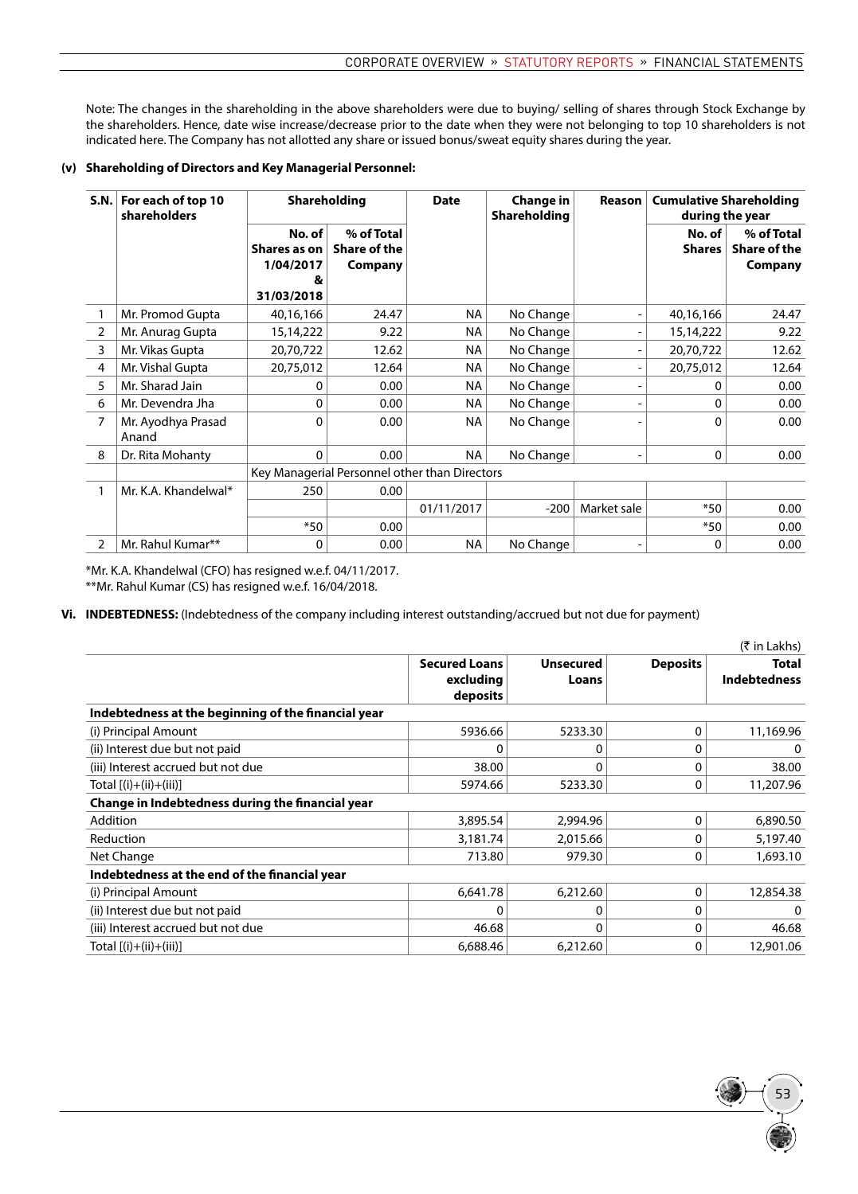Note: The changes in the shareholding in the above shareholders were due to buying/ selling of shares through Stock Exchange by the shareholders. Hence, date wise increase/decrease prior to the date when they were not belonging to top 10 shareholders is not indicated here. The Company has not allotted any share or issued bonus/sweat equity shares during the year.

#### **(v) Shareholding of Directors and Key Managerial Personnel:**

| S.N. | For each of top 10<br>shareholders | <b>Shareholding</b>                                     |                                               | <b>Date</b> | <b>Change in</b><br>Shareholding | Reason                       | <b>Cumulative Shareholding</b><br>during the year |                                       |
|------|------------------------------------|---------------------------------------------------------|-----------------------------------------------|-------------|----------------------------------|------------------------------|---------------------------------------------------|---------------------------------------|
|      |                                    | No. of<br>Shares as on<br>1/04/2017<br>8,<br>31/03/2018 | % of Total<br><b>Share of the</b><br>Company  |             |                                  |                              | No. of<br><b>Shares</b>                           | % of Total<br>Share of the<br>Company |
|      | Mr. Promod Gupta                   | 40,16,166                                               | 24.47                                         | <b>NA</b>   | No Change                        | $\overline{\phantom{a}}$     | 40,16,166                                         | 24.47                                 |
| 2    | Mr. Anurag Gupta                   | 15,14,222                                               | 9.22                                          | <b>NA</b>   | No Change                        | $\qquad \qquad \blacksquare$ | 15,14,222                                         | 9.22                                  |
| 3    | Mr. Vikas Gupta                    | 20,70,722                                               | 12.62                                         | NA          | No Change                        | $\qquad \qquad \blacksquare$ | 20,70,722                                         | 12.62                                 |
| 4    | Mr. Vishal Gupta                   | 20,75,012                                               | 12.64                                         | NA          | No Change                        | $\qquad \qquad \blacksquare$ | 20,75,012                                         | 12.64                                 |
| 5    | Mr. Sharad Jain                    | 0                                                       | 0.00                                          | <b>NA</b>   | No Change                        |                              | 0                                                 | 0.00                                  |
| 6    | Mr. Devendra Jha                   | 0                                                       | 0.00                                          | <b>NA</b>   | No Change                        | $\qquad \qquad \blacksquare$ | 0                                                 | 0.00                                  |
| 7    | Mr. Ayodhya Prasad<br>Anand        | 0                                                       | 0.00                                          | <b>NA</b>   | No Change                        |                              | 0                                                 | 0.00                                  |
| 8    | Dr. Rita Mohanty                   | 0                                                       | 0.00                                          | <b>NA</b>   | No Change                        | $\qquad \qquad \blacksquare$ | 0                                                 | 0.00                                  |
|      |                                    |                                                         | Key Managerial Personnel other than Directors |             |                                  |                              |                                                   |                                       |
|      | Mr. K.A. Khandelwal*               | 250                                                     | 0.00                                          |             |                                  |                              |                                                   |                                       |
|      |                                    |                                                         |                                               | 01/11/2017  | $-200$                           | Market sale                  | $*50$                                             | 0.00                                  |
|      |                                    | $*50$                                                   | 0.00                                          |             |                                  |                              | $*50$                                             | 0.00                                  |
| 2    | Mr. Rahul Kumar**                  | 0                                                       | 0.00                                          | <b>NA</b>   | No Change                        |                              | 0                                                 | 0.00                                  |

\*Mr. K.A. Khandelwal (CFO) has resigned w.e.f. 04/11/2017. \*\*Mr. Rahul Kumar (CS) has resigned w.e.f. 16/04/2018.

**Vi. INDEBTEDNESS:** (Indebtedness of the company including interest outstanding/accrued but not due for payment)

|                                                     |                                               |                           |                 | $(5 \in \mathsf{In}$ Lakhs)  |
|-----------------------------------------------------|-----------------------------------------------|---------------------------|-----------------|------------------------------|
|                                                     | <b>Secured Loans</b><br>excluding<br>deposits | <b>Unsecured</b><br>Loans | <b>Deposits</b> | Total<br><b>Indebtedness</b> |
| Indebtedness at the beginning of the financial year |                                               |                           |                 |                              |
| (i) Principal Amount                                | 5936.66                                       | 5233.30                   | 0               | 11,169.96                    |
| (ii) Interest due but not paid                      | 0                                             | 0                         | 0               | 0                            |
| (iii) Interest accrued but not due                  | 38.00                                         | $\Omega$                  | $\Omega$        | 38.00                        |
| Total $[(i)+(ii)+(iii)]$                            | 5974.66                                       | 5233.30                   | 0               | 11,207.96                    |
| Change in Indebtedness during the financial year    |                                               |                           |                 |                              |
| Addition                                            | 3,895.54                                      | 2,994.96                  | 0               | 6,890.50                     |
| Reduction                                           | 3,181.74                                      | 2,015.66                  | 0               | 5,197.40                     |
| Net Change                                          | 713.80                                        | 979.30                    | 0               | 1,693.10                     |
| Indebtedness at the end of the financial year       |                                               |                           |                 |                              |
| (i) Principal Amount                                | 6,641.78                                      | 6,212.60                  | 0               | 12,854.38                    |
| (ii) Interest due but not paid                      | 0                                             | 0                         | $\Omega$        | 0                            |
| (iii) Interest accrued but not due                  | 46.68                                         | $\Omega$                  | $\Omega$        | 46.68                        |
| Total [(i)+(ii)+(iii)]                              | 6,688.46                                      | 6,212.60                  | 0               | 12,901.06                    |

53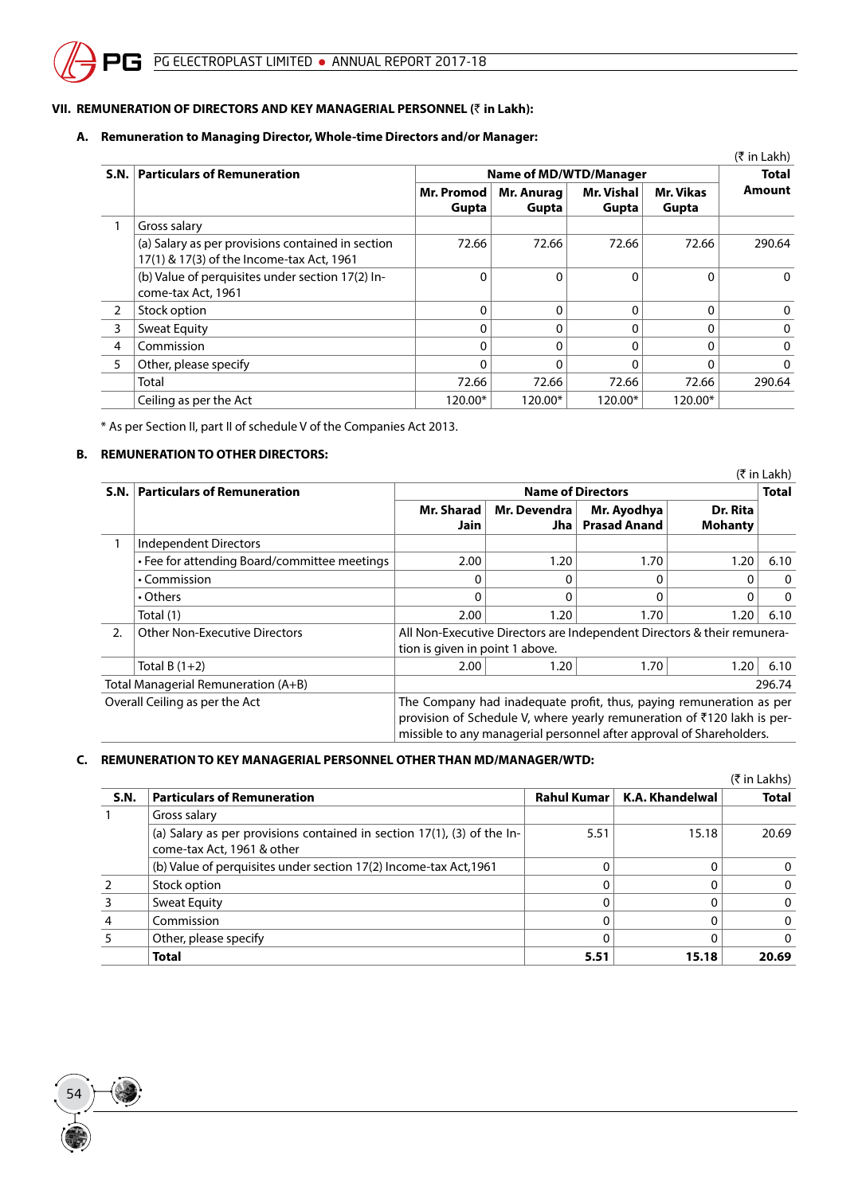## **VII. REMUNERATION OF DIRECTORS AND KEY MANAGERIAL PERSONNEL (**` **in Lakh):**

## **A. Remuneration to Managing Director, Whole-time Directors and/or Manager:**

|                |                                                                                                |                     |                        |                            |                    | $(5 \in \mathsf{Lakh})$ |  |
|----------------|------------------------------------------------------------------------------------------------|---------------------|------------------------|----------------------------|--------------------|-------------------------|--|
|                | S.N.   Particulars of Remuneration                                                             |                     | Name of MD/WTD/Manager |                            |                    |                         |  |
|                |                                                                                                | Mr. Promod<br>Gupta | Mr. Anurag<br>Gupta    | <b>Mr. Vishal</b><br>Gupta | Mr. Vikas<br>Gupta | Amount                  |  |
|                | Gross salary                                                                                   |                     |                        |                            |                    |                         |  |
|                | (a) Salary as per provisions contained in section<br>17(1) & 17(3) of the Income-tax Act, 1961 | 72.66               | 72.66                  | 72.66                      | 72.66              | 290.64                  |  |
|                | (b) Value of perquisites under section 17(2) In-<br>come-tax Act. 1961                         | $\Omega$            | $\Omega$               | 0                          | $\Omega$           | $\mathbf{0}$            |  |
| $\overline{2}$ | Stock option                                                                                   | $\Omega$            | 0                      | 0                          | $\Omega$           | 0                       |  |
| 3              | Sweat Equity                                                                                   |                     |                        | 0                          | $\Omega$           | $\mathbf 0$             |  |
| 4              | Commission                                                                                     | O                   | ŋ                      | 0                          | $\Omega$           | $\Omega$                |  |
| 5              | Other, please specify                                                                          |                     |                        | 0                          | 0                  | $\Omega$                |  |
|                | Total                                                                                          | 72.66               | 72.66                  | 72.66                      | 72.66              | 290.64                  |  |
|                | Ceiling as per the Act                                                                         | 120.00*             | 120.00*                | 120.00*                    | 120.00*            |                         |  |

\* As per Section II, part II of schedule V of the Companies Act 2013.

## **B. REMUNERATION TO OTHER DIRECTORS:**

54

|      |                                              |                                                                                                                                                                                                                        |                          |                                    |                            | (₹ in Lakh)  |  |  |  |
|------|----------------------------------------------|------------------------------------------------------------------------------------------------------------------------------------------------------------------------------------------------------------------------|--------------------------|------------------------------------|----------------------------|--------------|--|--|--|
| S.N. | <b>Particulars of Remuneration</b>           |                                                                                                                                                                                                                        | <b>Name of Directors</b> |                                    |                            |              |  |  |  |
|      |                                              | Mr. Sharad<br>Jain                                                                                                                                                                                                     | Mr. Devendra<br>Jha      | Mr. Ayodhya<br><b>Prasad Anand</b> | Dr. Rita<br><b>Mohanty</b> |              |  |  |  |
|      | Independent Directors                        |                                                                                                                                                                                                                        |                          |                                    |                            |              |  |  |  |
|      | • Fee for attending Board/committee meetings | 2.00                                                                                                                                                                                                                   | 1.20                     | 1.70                               | 1.20                       | 6.10         |  |  |  |
|      | • Commission                                 | 0                                                                                                                                                                                                                      | 0                        | 0                                  | ∩                          | $\mathbf{0}$ |  |  |  |
|      | • Others                                     | 0                                                                                                                                                                                                                      | 0                        | 0                                  | $\Omega$                   | $\mathbf{0}$ |  |  |  |
|      | Total (1)                                    | 2.00                                                                                                                                                                                                                   | 1.20                     | 1.70                               | 1.20                       | 6.10         |  |  |  |
| 2.   | <b>Other Non-Executive Directors</b>         | All Non-Executive Directors are Independent Directors & their remunera-                                                                                                                                                |                          |                                    |                            |              |  |  |  |
|      |                                              | tion is given in point 1 above.                                                                                                                                                                                        |                          |                                    |                            |              |  |  |  |
|      | Total B $(1+2)$                              | 2.00                                                                                                                                                                                                                   | 1.20                     | 1.70                               | 1.20                       | 6.10         |  |  |  |
|      | Total Managerial Remuneration (A+B)          |                                                                                                                                                                                                                        |                          |                                    |                            | 296.74       |  |  |  |
|      | Overall Ceiling as per the Act               | The Company had inadequate profit, thus, paying remuneration as per<br>provision of Schedule V, where yearly remuneration of ₹120 lakh is per-<br>missible to any managerial personnel after approval of Shareholders. |                          |                                    |                            |              |  |  |  |

## **C. REMUNERATION TO KEY MANAGERIAL PERSONNEL OTHER THAN MD/MANAGER/WTD:**

|      |                                                                                                          |             |                 | $(5 \in \mathsf{In}$ Lakhs) |
|------|----------------------------------------------------------------------------------------------------------|-------------|-----------------|-----------------------------|
| S.N. | <b>Particulars of Remuneration</b>                                                                       | Rahul Kumar | K.A. Khandelwal | <b>Total</b>                |
|      | Gross salary                                                                                             |             |                 |                             |
|      | (a) Salary as per provisions contained in section $17(1)$ , (3) of the In-<br>come-tax Act, 1961 & other | 5.51        | 15.18           | 20.69                       |
|      | (b) Value of perquisites under section 17(2) Income-tax Act, 1961                                        |             |                 | $\Omega$                    |
|      | Stock option                                                                                             |             |                 | $\mathbf{0}$                |
|      | Sweat Equity                                                                                             |             |                 | $\Omega$                    |
| 4    | Commission                                                                                               |             |                 | $\Omega$                    |
| 5    | Other, please specify                                                                                    | 0           |                 | $\Omega$                    |
|      | <b>Total</b>                                                                                             | 5.51        | 15.18           | 20.69                       |